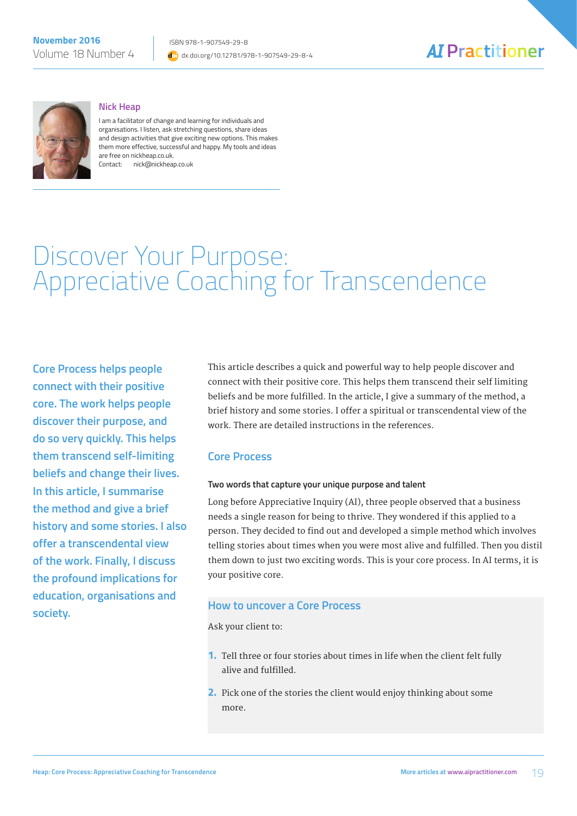



#### **Nick Heap**

I am a facilitator of change and learning for individuals and organisations. I listen, ask stretching questions, share ideas and design activities that give exciting new options. This makes them more effective, successful and happy. My tools and ideas are free on nickheap.co.uk. Contact: nick@nickheap.co.uk

# Discover Your Purpose: Appreciative Coaching for Transcendence

**Core Process helps people connect with their positive core. The work helps people discover their purpose, and do so very quickly. This helps them transcend self-limiting beliefs and change their lives. In this article, I summarise the method and give a brief history and some stories. I also offer a transcendental view of the work. Finally, I discuss the profound implications for education, organisations and society.**

This article describes a quick and powerful way to help people discover and connect with their positive core. This helps them transcend their self limiting beliefs and be more fulfilled. In the article, I give a summary of the method, a brief history and some stories. I offer a spiritual or transcendental view of the work. There are detailed instructions in the references.

### **Core Process**

### **Two words that capture your unique purpose and talent**

Long before Appreciative Inquiry (AI), three people observed that a business needs a single reason for being to thrive. They wondered if this applied to a person. They decided to find out and developed a simple method which involves telling stories about times when you were most alive and fulfilled. Then you distil them down to just two exciting words. This is your core process. In AI terms, it is your positive core.

### **How to uncover a Core Process**

Ask your client to:

- **1.** Tell three or four stories about times in life when the client felt fully alive and fulfilled.
- **2.** Pick one of the stories the client would enjoy thinking about some more.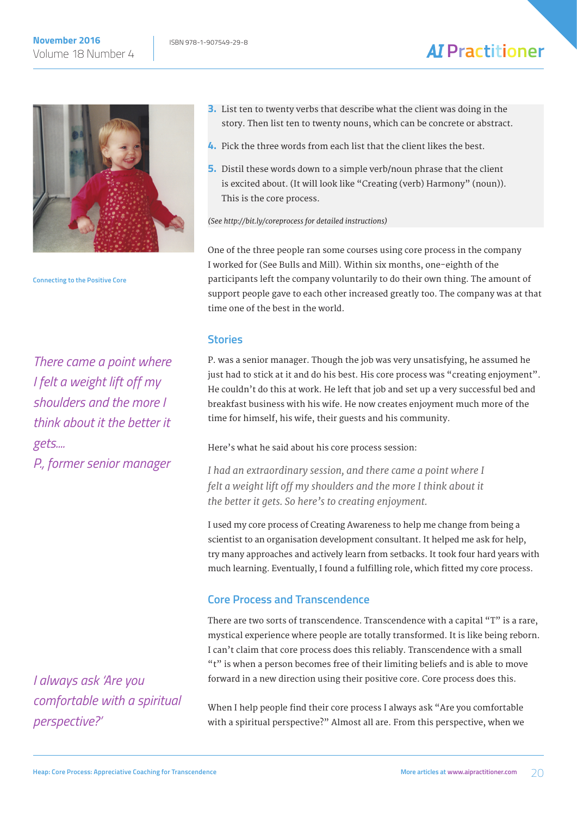

**Connecting to the Positive Core**

*There came a point where I felt a weight lift off my shoulders and the more I think about it the better it gets....*

*P., former senior manager*

*I always ask 'Are you comfortable with a spiritual perspective?'*

- **3.** List ten to twenty verbs that describe what the client was doing in the story. Then list ten to twenty nouns, which can be concrete or abstract.
- **4.** Pick the three words from each list that the client likes the best.
- **5.** Distil these words down to a simple verb/noun phrase that the client is excited about. (It will look like "Creating (verb) Harmony" (noun)). This is the core process.

*(See http://bit.ly/coreprocess for detailed instructions)*

One of the three people ran some courses using core process in the company I worked for (See Bulls and Mill). Within six months, one-eighth of the participants left the company voluntarily to do their own thing. The amount of support people gave to each other increased greatly too. The company was at that time one of the best in the world.

### **Stories**

P. was a senior manager. Though the job was very unsatisfying, he assumed he just had to stick at it and do his best. His core process was "creating enjoyment". He couldn't do this at work. He left that job and set up a very successful bed and breakfast business with his wife. He now creates enjoyment much more of the time for himself, his wife, their guests and his community.

### Here's what he said about his core process session:

*I had an extraordinary session, and there came a point where I felt a weight lift off my shoulders and the more I think about it the better it gets. So here's to creating enjoyment.*

I used my core process of Creating Awareness to help me change from being a scientist to an organisation development consultant. It helped me ask for help, try many approaches and actively learn from setbacks. It took four hard years with much learning. Eventually, I found a fulfilling role, which fitted my core process.

# **Core Process and Transcendence**

There are two sorts of transcendence. Transcendence with a capital "T" is a rare, mystical experience where people are totally transformed. It is like being reborn. I can't claim that core process does this reliably. Transcendence with a small "t" is when a person becomes free of their limiting beliefs and is able to move forward in a new direction using their positive core. Core process does this.

When I help people find their core process I always ask "Are you comfortable with a spiritual perspective?" Almost all are. From this perspective, when we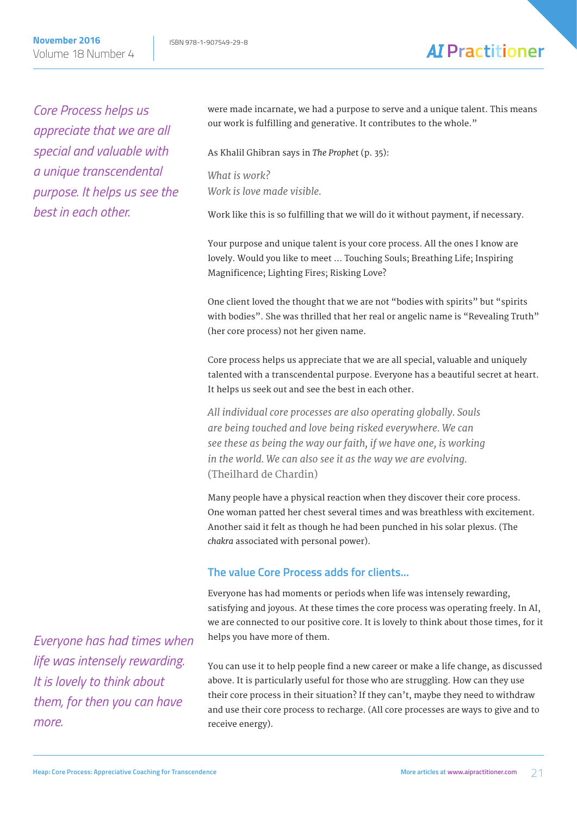**November 2016 ISBN 978-1-907549-29-8** Volume 18 Number 4

# **AI** Practitioner

*Core Process helps us appreciate that we are all special and valuable with a unique transcendental purpose. It helps us see the best in each other.*

were made incarnate, we had a purpose to serve and a unique talent. This means our work is fulfilling and generative. It contributes to the whole."

As Khalil Ghibran says in *The Prophe*t (p. 35):

*What is work? Work is love made visible.*

Work like this is so fulfilling that we will do it without payment, if necessary.

Your purpose and unique talent is your core process. All the ones I know are lovely. Would you like to meet … Touching Souls; Breathing Life; Inspiring Magnificence; Lighting Fires; Risking Love?

One client loved the thought that we are not "bodies with spirits" but "spirits with bodies". She was thrilled that her real or angelic name is "Revealing Truth" (her core process) not her given name.

Core process helps us appreciate that we are all special, valuable and uniquely talented with a transcendental purpose. Everyone has a beautiful secret at heart. It helps us seek out and see the best in each other.

*All individual core processes are also operating globally. Souls are being touched and love being risked everywhere. We can see these as being the way our faith, if we have one, is working in the world. We can also see it as the way we are evolving.*  (Theilhard de Chardin)

Many people have a physical reaction when they discover their core process. One woman patted her chest several times and was breathless with excitement. Another said it felt as though he had been punched in his solar plexus. (The *chakra* associated with personal power).

# **The value Core Process adds for clients...**

Everyone has had moments or periods when life was intensely rewarding, satisfying and joyous. At these times the core process was operating freely. In AI, we are connected to our positive core. It is lovely to think about those times, for it helps you have more of them.

You can use it to help people find a new career or make a life change, as discussed above. It is particularly useful for those who are struggling. How can they use their core process in their situation? If they can't, maybe they need to withdraw and use their core process to recharge. (All core processes are ways to give and to receive energy).

*Everyone has had times when life was intensely rewarding. It is lovely to think about them, for then you can have more.*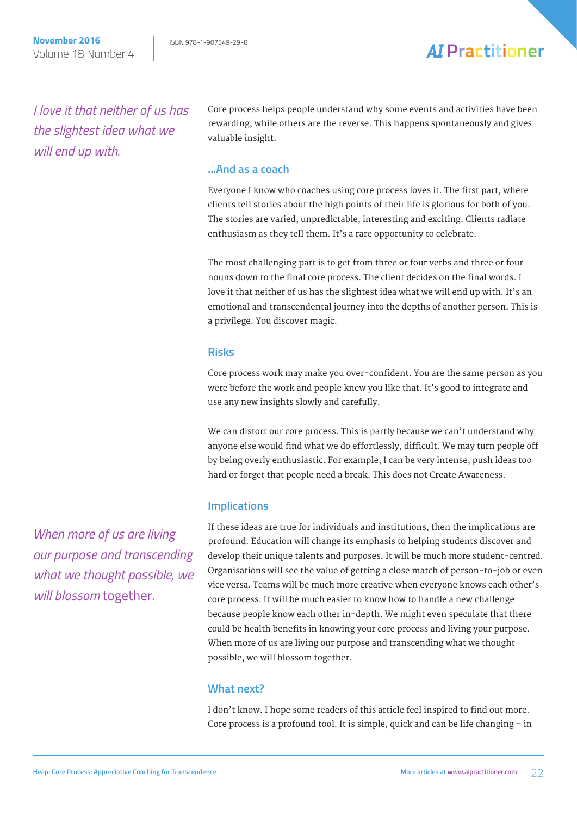*I love it that neither of us has the slightest idea what we will end up with.*

Core process helps people understand why some events and activities have been rewarding, while others are the reverse. This happens spontaneously and gives valuable insight.

# **...And as a coach**

Everyone I know who coaches using core process loves it. The first part, where clients tell stories about the high points of their life is glorious for both of you. The stories are varied, unpredictable, interesting and exciting. Clients radiate enthusiasm as they tell them. It's a rare opportunity to celebrate.

The most challenging part is to get from three or four verbs and three or four nouns down to the final core process. The client decides on the final words. I love it that neither of us has the slightest idea what we will end up with. It's an emotional and transcendental journey into the depths of another person. This is a privilege. You discover magic.

### **Risks**

Core process work may make you over-confident. You are the same person as you were before the work and people knew you like that. It's good to integrate and use any new insights slowly and carefully.

We can distort our core process. This is partly because we can't understand why anyone else would find what we do effortlessly, difficult. We may turn people off by being overly enthusiastic. For example, I can be very intense, push ideas too hard or forget that people need a break. This does not Create Awareness.

# **Implications**

If these ideas are true for individuals and institutions, then the implications are profound. Education will change its emphasis to helping students discover and develop their unique talents and purposes. It will be much more student-centred. Organisations will see the value of getting a close match of person-to-job or even vice versa. Teams will be much more creative when everyone knows each other's core process. It will be much easier to know how to handle a new challenge because people know each other in-depth. We might even speculate that there could be health benefits in knowing your core process and living your purpose. When more of us are living our purpose and transcending what we thought possible, we will blossom together.

# **What next?**

I don't know. I hope some readers of this article feel inspired to find out more. Core process is a profound tool. It is simple, quick and can be life changing – in

*When more of us are living our purpose and transcending what we thought possible, we will blossom* together*.*